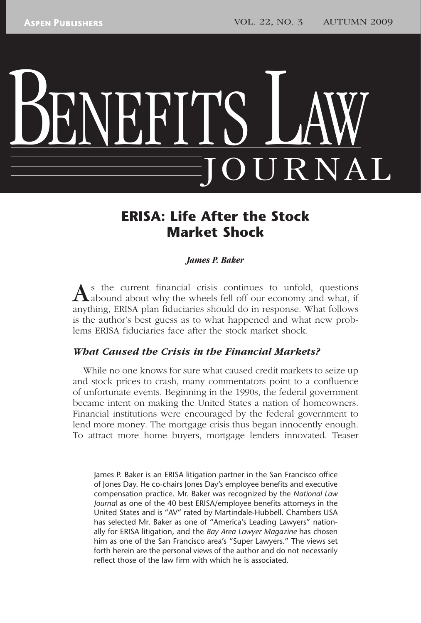# BENEFITS LAW JOURNAL

# **ERISA: Life After the Stock Market Shock**

### *James P. Baker*

s the current financial crisis continues to unfold, questions  $\Lambda$ abound about why the wheels fell off our economy and what, if anything, ERISA plan fiduciaries should do in response. What follows is the author's best guess as to what happened and what new problems ERISA fiduciaries face after the stock market shock.

### *What Caused the Crisis in the Financial Markets?*

While no one knows for sure what caused credit markets to seize up and stock prices to crash, many commentators point to a confluence of unfortunate events. Beginning in the 1990s, the federal government became intent on making the United States a nation of homeowners. Financial institutions were encouraged by the federal government to lend more money. The mortgage crisis thus began innocently enough. To attract more home buyers, mortgage lenders innovated. Teaser

James P. Baker is an ERISA litigation partner in the San Francisco office of Jones Day. He co-chairs Jones Day's employee benefits and executive compensation practice. Mr. Baker was recognized by the *National Law Journa*l as one of the 40 best ERISA/employee benefits attorneys in the United States and is "AV" rated by Martindale-Hubbell. Chambers USA has selected Mr. Baker as one of "America's Leading Lawyers" nationally for ERISA litigation, and the *Bay Area Lawyer Magazine* has chosen him as one of the San Francisco area's "Super Lawyers." The views set forth herein are the personal views of the author and do not necessarily reflect those of the law firm with which he is associated.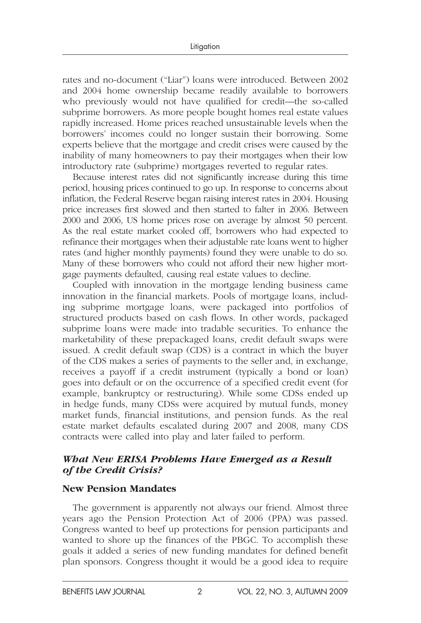rates and no-document ("Liar") loans were introduced. Between 2002 and 2004 home ownership became readily available to borrowers who previously would not have qualified for credit—the so-called subprime borrowers. As more people bought homes real estate values rapidly increased. Home prices reached unsustainable levels when the borrowers' incomes could no longer sustain their borrowing. Some experts believe that the mortgage and credit crises were caused by the inability of many homeowners to pay their mortgages when their low introductory rate (subprime) mortgages reverted to regular rates.

Because interest rates did not significantly increase during this time period, housing prices continued to go up. In response to concerns about inflation, the Federal Reserve began raising interest rates in 2004. Housing price increases first slowed and then started to falter in 2006. Between 2000 and 2006, US home prices rose on average by almost 50 percent. As the real estate market cooled off, borrowers who had expected to refinance their mortgages when their adjustable rate loans went to higher rates (and higher monthly payments) found they were unable to do so. Many of these borrowers who could not afford their new higher mortgage payments defaulted, causing real estate values to decline.

Coupled with innovation in the mortgage lending business came innovation in the financial markets. Pools of mortgage loans, including subprime mortgage loans, were packaged into portfolios of structured products based on cash flows. In other words, packaged subprime loans were made into tradable securities. To enhance the marketability of these prepackaged loans, credit default swaps were issued. A credit default swap (CDS) is a contract in which the buyer of the CDS makes a series of payments to the seller and, in exchange, receives a payoff if a credit instrument (typically a bond or loan) goes into default or on the occurrence of a specified credit event (for example, bankruptcy or restructuring). While some CDSs ended up in hedge funds, many CDSs were acquired by mutual funds, money market funds, financial institutions, and pension funds. As the real estate market defaults escalated during 2007 and 2008, many CDS contracts were called into play and later failed to perform.

### *What New ERISA Problems Have Emerged as a Result of the Credit Crisis?*

# **New Pension Mandates**

The government is apparently not always our friend. Almost three years ago the Pension Protection Act of 2006 (PPA) was passed. Congress wanted to beef up protections for pension participants and wanted to shore up the finances of the PBGC. To accomplish these goals it added a series of new funding mandates for defined benefit plan sponsors. Congress thought it would be a good idea to require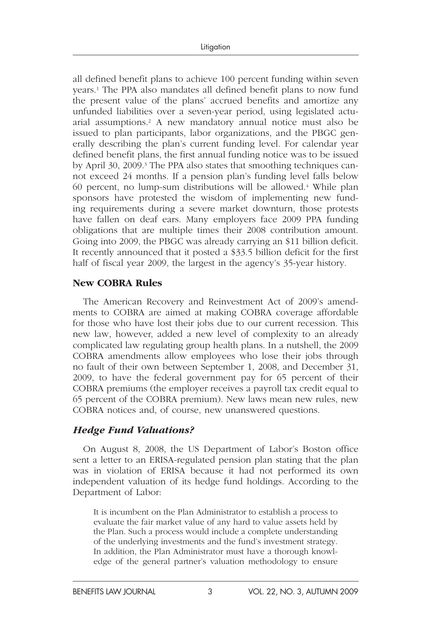all defined benefit plans to achieve 100 percent funding within seven years.<sup>1</sup> The PPA also mandates all defined benefit plans to now fund the present value of the plans' accrued benefits and amortize any unfunded liabilities over a seven-year period, using legislated actuarial assumptions.<sup>2</sup> A new mandatory annual notice must also be issued to plan participants, labor organizations, and the PBGC generally describing the plan's current funding level. For calendar year defined benefit plans, the first annual funding notice was to be issued by April 30, 2009.<sup>3</sup> The PPA also states that smoothing techniques cannot exceed 24 months. If a pension plan's funding level falls below 60 percent, no lump-sum distributions will be allowed. 4 While plan sponsors have protested the wisdom of implementing new funding requirements during a severe market downturn, those protests have fallen on deaf ears. Many employers face 2009 PPA funding obligations that are multiple times their 2008 contribution amount. Going into 2009, the PBGC was already carrying an \$11 billion deficit. It recently announced that it posted a \$33.5 billion deficit for the first half of fiscal year 2009, the largest in the agency's 35-year history.

### **New COBRA Rules**

The American Recovery and Reinvestment Act of 2009's amendments to COBRA are aimed at making COBRA coverage affordable for those who have lost their jobs due to our current recession. This new law, however, added a new level of complexity to an already complicated law regulating group health plans. In a nutshell, the 2009 COBRA amendments allow employees who lose their jobs through no fault of their own between September 1, 2008, and December 31, 2009, to have the federal government pay for 65 percent of their COBRA premiums (the employer receives a payroll tax credit equal to 65 percent of the COBRA premium). New laws mean new rules, new COBRA notices and, of course, new unanswered questions.

# *Hedge Fund Valuations?*

On August 8, 2008, the US Department of Labor's Boston office sent a letter to an ERISA-regulated pension plan stating that the plan was in violation of ERISA because it had not performed its own independent valuation of its hedge fund holdings. According to the Department of Labor:

It is incumbent on the Plan Administrator to establish a process to evaluate the fair market value of any hard to value assets held by the Plan. Such a process would include a complete understanding of the underlying investments and the fund's investment strategy. In addition, the Plan Administrator must have a thorough knowledge of the general partner's valuation methodology to ensure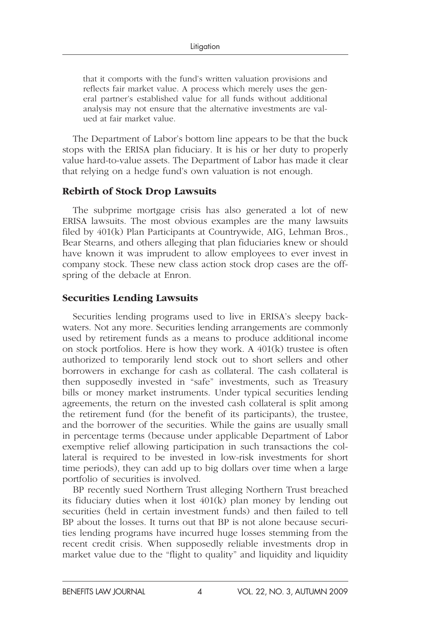that it comports with the fund's written valuation provisions and reflects fair market value. A process which merely uses the general partner's established value for all funds without additional analysis may not ensure that the alternative investments are valued at fair market value.

The Department of Labor's bottom line appears to be that the buck stops with the ERISA plan fiduciary. It is his or her duty to properly value hard-to-value assets. The Department of Labor has made it clear that relying on a hedge fund's own valuation is not enough.

### **Rebirth of Stock Drop Lawsuits**

The subprime mortgage crisis has also generated a lot of new ERISA lawsuits. The most obvious examples are the many lawsuits filed by 401(k) Plan Participants at Countrywide, AIG, Lehman Bros., Bear Stearns, and others alleging that plan fiduciaries knew or should have known it was imprudent to allow employees to ever invest in company stock. These new class action stock drop cases are the offspring of the debacle at Enron.

# **Securities Lending Lawsuits**

Securities lending programs used to live in ERISA's sleepy backwaters. Not any more. Securities lending arrangements are commonly used by retirement funds as a means to produce additional income on stock portfolios. Here is how they work. A 401(k) trustee is often authorized to temporarily lend stock out to short sellers and other borrowers in exchange for cash as collateral. The cash collateral is then supposedly invested in "safe" investments, such as Treasury bills or money market instruments. Under typical securities lending agreements, the return on the invested cash collateral is split among the retirement fund (for the benefit of its participants), the trustee, and the borrower of the securities. While the gains are usually small in percentage terms (because under applicable Department of Labor exemptive relief allowing participation in such transactions the collateral is required to be invested in low-risk investments for short time periods), they can add up to big dollars over time when a large portfolio of securities is involved.

BP recently sued Northern Trust alleging Northern Trust breached its fiduciary duties when it lost 401(k) plan money by lending out securities (held in certain investment funds) and then failed to tell BP about the losses. It turns out that BP is not alone because securities lending programs have incurred huge losses stemming from the recent credit crisis. When supposedly reliable investments drop in market value due to the "flight to quality" and liquidity and liquidity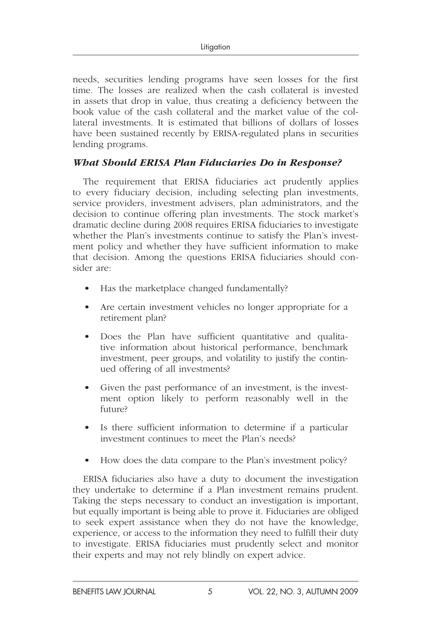needs, securities lending programs have seen losses for the first time. The losses are realized when the cash collateral is invested in assets that drop in value, thus creating a deficiency between the book value of the cash collateral and the market value of the collateral investments. It is estimated that billions of dollars of losses have been sustained recently by ERISA-regulated plans in securities lending programs.

# *What Should ERISA Plan Fiduciaries Do in Response?*

The requirement that ERISA fiduciaries act prudently applies to every fiduciary decision, including selecting plan investments, service providers, investment advisers, plan administrators, and the decision to continue offering plan investments. The stock market's dramatic decline during 2008 requires ERISA fiduciaries to investigate whether the Plan's investments continue to satisfy the Plan's investment policy and whether they have sufficient information to make that decision. Among the questions ERISA fiduciaries should consider are:

- Has the marketplace changed fundamentally?
- Are certain investment vehicles no longer appropriate for a retirement plan?
- Does the Plan have sufficient quantitative and qualitative information about historical performance, benchmark investment, peer groups, and volatility to justify the continued offering of all investments?
- Given the past performance of an investment, is the investment option likely to perform reasonably well in the future?
- Is there sufficient information to determine if a particular investment continues to meet the Plan's needs?
- How does the data compare to the Plan's investment policy?

ERISA fiduciaries also have a duty to document the investigation they undertake to determine if a Plan investment remains prudent. Taking the steps necessary to conduct an investigation is important, but equally important is being able to prove it. Fiduciaries are obliged to seek expert assistance when they do not have the knowledge, experience, or access to the information they need to fulfill their duty to investigate. ERISA fiduciaries must prudently select and monitor their experts and may not rely blindly on expert advice.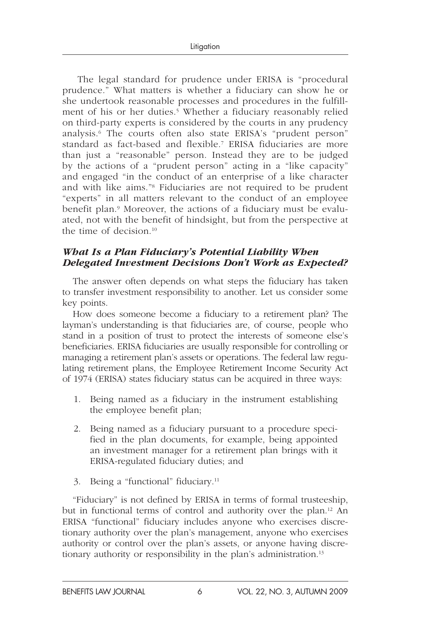The legal standard for prudence under ERISA is "procedural prudence." What matters is whether a fiduciary can show he or she undertook reasonable processes and procedures in the fulfillment of his or her duties.<sup>5</sup> Whether a fiduciary reasonably relied on third-party experts is considered by the courts in any prudency analysis.<sup>6</sup> The courts often also state ERISA's "prudent person" standard as fact-based and flexible.<sup>7</sup> ERISA fiduciaries are more than just a "reasonable" person. Instead they are to be judged by the actions of a "prudent person" acting in a "like capacity" and engaged "in the conduct of an enterprise of a like character and with like aims."<sup>8</sup> Fiduciaries are not required to be prudent "experts" in all matters relevant to the conduct of an employee benefit plan.<sup>9</sup> Moreover, the actions of a fiduciary must be evaluated, not with the benefit of hindsight, but from the perspective at the time of decision.<sup>10</sup>

## *What Is a Plan Fiduciary's Potential Liability When Delegated Investment Decisions Don't Work as Expected?*

The answer often depends on what steps the fiduciary has taken to transfer investment responsibility to another. Let us consider some key points.

How does someone become a fiduciary to a retirement plan? The layman's understanding is that fiduciaries are, of course, people who stand in a position of trust to protect the interests of someone else's beneficiaries. ERISA fiduciaries are usually responsible for controlling or managing a retirement plan's assets or operations. The federal law regulating retirement plans, the Employee Retirement Income Security Act of 1974 (ERISA) states fiduciary status can be acquired in three ways:

- 1. Being named as a fiduciary in the instrument establishing the employee benefit plan;
- 2. Being named as a fiduciary pursuant to a procedure specified in the plan documents, for example, being appointed an investment manager for a retirement plan brings with it ERISA-regulated fiduciary duties; and
- 3. Being a "functional" fiduciary. 11

"Fiduciary" is not defined by ERISA in terms of formal trusteeship, but in functional terms of control and authority over the plan. 12 An ERISA "functional" fiduciary includes anyone who exercises discretionary authority over the plan's management, anyone who exercises authority or control over the plan's assets, or anyone having discretionary authority or responsibility in the plan's administration. 13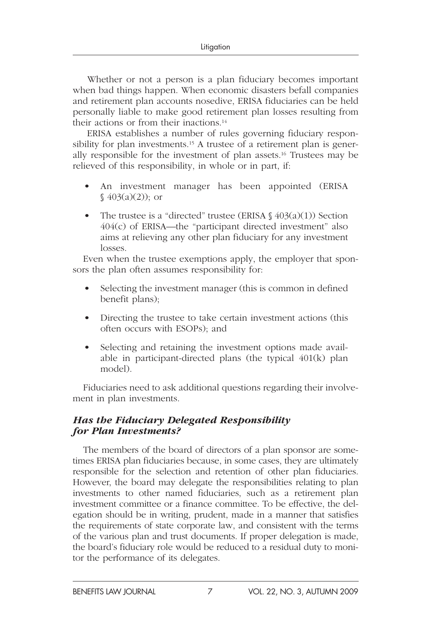Whether or not a person is a plan fiduciary becomes important when bad things happen. When economic disasters befall companies and retirement plan accounts nosedive, ERISA fiduciaries can be held personally liable to make good retirement plan losses resulting from their actions or from their inactions.<sup>14</sup>

 ERISA establishes a number of rules governing fiduciary responsibility for plan investments.<sup>15</sup> A trustee of a retirement plan is generally responsible for the investment of plan assets. 16 Trustees may be relieved of this responsibility, in whole or in part, if:

- An investment manager has been appointed (ERISA  $\{(403(a)(2))\}$ ; or
- The trustee is a "directed" trustee (ERISA  $\frac{6}{9}(a)(1)$ ) Section 404(c) of ERISA—the "participant directed investment" also aims at relieving any other plan fiduciary for any investment losses.

Even when the trustee exemptions apply, the employer that sponsors the plan often assumes responsibility for:

- Selecting the investment manager (this is common in defined benefit plans);
- Directing the trustee to take certain investment actions (this often occurs with ESOPs); and
- Selecting and retaining the investment options made available in participant-directed plans (the typical 401(k) plan model).

Fiduciaries need to ask additional questions regarding their involvement in plan investments.

# *Has the Fiduciary Delegated Responsibility for Plan Investments?*

The members of the board of directors of a plan sponsor are sometimes ERISA plan fiduciaries because, in some cases, they are ultimately responsible for the selection and retention of other plan fiduciaries. However, the board may delegate the responsibilities relating to plan investments to other named fiduciaries, such as a retirement plan investment committee or a finance committee. To be effective, the delegation should be in writing, prudent, made in a manner that satisfies the requirements of state corporate law, and consistent with the terms of the various plan and trust documents. If proper delegation is made, the board's fiduciary role would be reduced to a residual duty to monitor the performance of its delegates.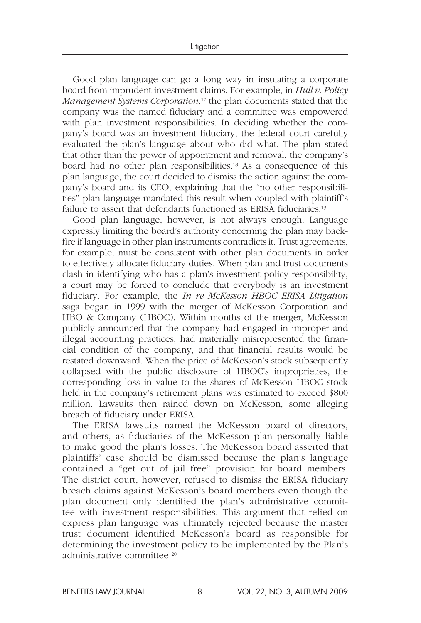Good plan language can go a long way in insulating a corporate board from imprudent investment claims. For example, in *Hull v. Policy*  Management Systems Corporation,<sup>17</sup> the plan documents stated that the company was the named fiduciary and a committee was empowered with plan investment responsibilities. In deciding whether the company's board was an investment fiduciary, the federal court carefully evaluated the plan's language about who did what. The plan stated that other than the power of appointment and removal, the company's board had no other plan responsibilities.<sup>18</sup> As a consequence of this plan language, the court decided to dismiss the action against the company's board and its CEO, explaining that the "no other responsibilities" plan language mandated this result when coupled with plaintiff's failure to assert that defendants functioned as ERISA fiduciaries.<sup>19</sup>

Good plan language, however, is not always enough. Language expressly limiting the board's authority concerning the plan may backfire if language in other plan instruments contradicts it. Trust agreements, for example, must be consistent with other plan documents in order to effectively allocate fiduciary duties. When plan and trust documents clash in identifying who has a plan's investment policy responsibility, a court may be forced to conclude that everybody is an investment fiduciary. For example, the *In re McKesson HBOC ERISA Litigation* saga began in 1999 with the merger of McKesson Corporation and HBO & Company (HBOC). Within months of the merger, McKesson publicly announced that the company had engaged in improper and illegal accounting practices, had materially misrepresented the financial condition of the company, and that financial results would be restated downward. When the price of McKesson's stock subsequently collapsed with the public disclosure of HBOC's improprieties, the corresponding loss in value to the shares of McKesson HBOC stock held in the company's retirement plans was estimated to exceed \$800 million. Lawsuits then rained down on McKesson, some alleging breach of fiduciary under ERISA.

The ERISA lawsuits named the McKesson board of directors, and others, as fiduciaries of the McKesson plan personally liable to make good the plan's losses. The McKesson board asserted that plaintiffs' case should be dismissed because the plan's language contained a "get out of jail free" provision for board members. The district court, however, refused to dismiss the ERISA fiduciary breach claims against McKesson's board members even though the plan document only identified the plan's administrative committee with investment responsibilities. This argument that relied on express plan language was ultimately rejected because the master trust document identified McKesson's board as responsible for determining the investment policy to be implemented by the Plan's administrative committee. 20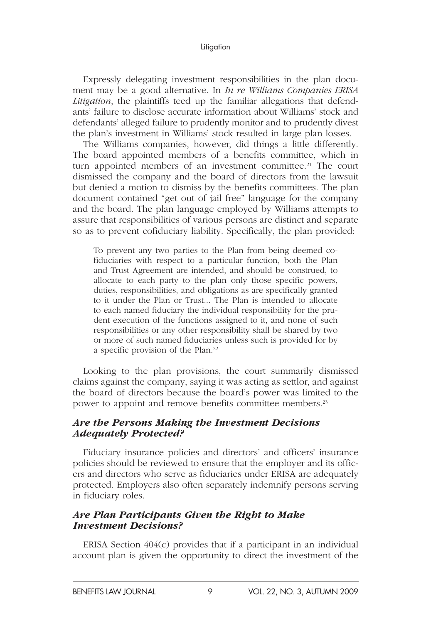Expressly delegating investment responsibilities in the plan document may be a good alternative. In *In re Williams Companies ERISA Litigation*, the plaintiffs teed up the familiar allegations that defendants' failure to disclose accurate information about Williams' stock and defendants' alleged failure to prudently monitor and to prudently divest the plan's investment in Williams' stock resulted in large plan losses.

The Williams companies, however, did things a little differently. The board appointed members of a benefits committee, which in turn appointed members of an investment committee.<sup>21</sup> The court dismissed the company and the board of directors from the lawsuit but denied a motion to dismiss by the benefits committees. The plan document contained "get out of jail free" language for the company and the board. The plan language employed by Williams attempts to assure that responsibilities of various persons are distinct and separate so as to prevent cofiduciary liability. Specifically, the plan provided:

To prevent any two parties to the Plan from being deemed cofiduciaries with respect to a particular function, both the Plan and Trust Agreement are intended, and should be construed, to allocate to each party to the plan only those specific powers, duties, responsibilities, and obligations as are specifically granted to it under the Plan or Trust... The Plan is intended to allocate to each named fiduciary the individual responsibility for the prudent execution of the functions assigned to it, and none of such responsibilities or any other responsibility shall be shared by two or more of such named fiduciaries unless such is provided for by a specific provision of the Plan. 22

Looking to the plan provisions, the court summarily dismissed claims against the company, saying it was acting as settlor, and against the board of directors because the board's power was limited to the power to appoint and remove benefits committee members. 23

### *Are the Persons Making the Investment Decisions Adequately Protected?*

Fiduciary insurance policies and directors' and officers' insurance policies should be reviewed to ensure that the employer and its officers and directors who serve as fiduciaries under ERISA are adequately protected. Employers also often separately indemnify persons serving in fiduciary roles.

### *Are Plan Participants Given the Right to Make Investment Decisions?*

ERISA Section 404(c) provides that if a participant in an individual account plan is given the opportunity to direct the investment of the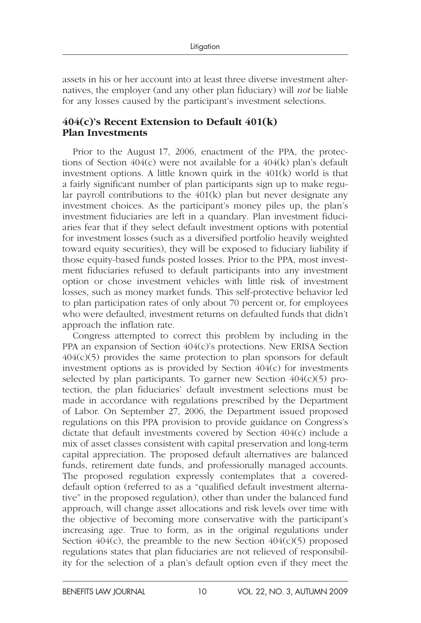assets in his or her account into at least three diverse investment alternatives, the employer (and any other plan fiduciary) will *not* be liable for any losses caused by the participant's investment selections.

# **404(c)'s Recent Extension to Default 401(k) Plan Investments**

Prior to the August 17, 2006, enactment of the PPA, the protections of Section  $404(c)$  were not available for a  $404(k)$  plan's default investment options. A little known quirk in the 401(k) world is that a fairly significant number of plan participants sign up to make regular payroll contributions to the  $401(k)$  plan but never designate any investment choices. As the participant's money piles up, the plan's investment fiduciaries are left in a quandary. Plan investment fiduciaries fear that if they select default investment options with potential for investment losses (such as a diversified portfolio heavily weighted toward equity securities), they will be exposed to fiduciary liability if those equity-based funds posted losses. Prior to the PPA, most investment fiduciaries refused to default participants into any investment option or chose investment vehicles with little risk of investment losses, such as money market funds. This self-protective behavior led to plan participation rates of only about 70 percent or, for employees who were defaulted, investment returns on defaulted funds that didn't approach the inflation rate.

Congress attempted to correct this problem by including in the PPA an expansion of Section 404(c)'s protections. New ERISA Section  $404(c)(5)$  provides the same protection to plan sponsors for default investment options as is provided by Section 404(c) for investments selected by plan participants. To garner new Section  $404(c)(5)$  protection, the plan fiduciaries' default investment selections must be made in accordance with regulations prescribed by the Department of Labor. On September 27, 2006, the Department issued proposed regulations on this PPA provision to provide guidance on Congress's dictate that default investments covered by Section 404(c) include a mix of asset classes consistent with capital preservation and long-term capital appreciation. The proposed default alternatives are balanced funds, retirement date funds, and professionally managed accounts. The proposed regulation expressly contemplates that a covereddefault option (referred to as a "qualified default investment alternative" in the proposed regulation), other than under the balanced fund approach, will change asset allocations and risk levels over time with the objective of becoming more conservative with the participant's increasing age. True to form, as in the original regulations under Section  $404(c)$ , the preamble to the new Section  $404(c)(5)$  proposed regulations states that plan fiduciaries are not relieved of responsibility for the selection of a plan's default option even if they meet the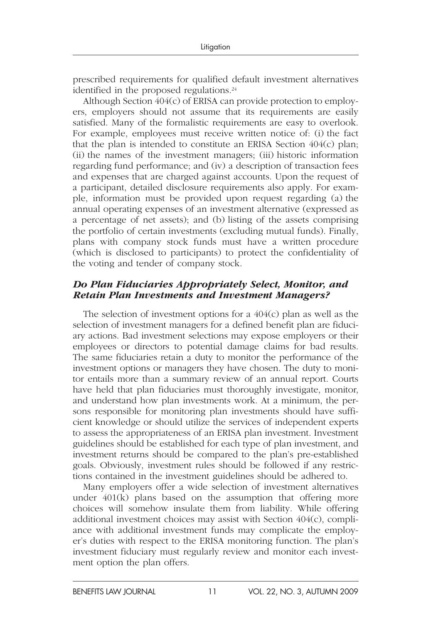prescribed requirements for qualified default investment alternatives identified in the proposed regulations.<sup>24</sup>

Although Section 404(c) of ERISA can provide protection to employers, employers should not assume that its requirements are easily satisfied. Many of the formalistic requirements are easy to overlook. For example, employees must receive written notice of: (i) the fact that the plan is intended to constitute an ERISA Section 404(c) plan; (ii) the names of the investment managers; (iii) historic information regarding fund performance; and (iv) a description of transaction fees and expenses that are charged against accounts. Upon the request of a participant, detailed disclosure requirements also apply. For example, information must be provided upon request regarding (a) the annual operating expenses of an investment alternative (expressed as a percentage of net assets); and (b) listing of the assets comprising the portfolio of certain investments (excluding mutual funds). Finally, plans with company stock funds must have a written procedure (which is disclosed to participants) to protect the confidentiality of the voting and tender of company stock.

### *Do Plan Fiduciaries Appropriately Select, Monitor, and Retain Plan Investments and Investment Managers?*

The selection of investment options for a  $404(c)$  plan as well as the selection of investment managers for a defined benefit plan are fiduciary actions. Bad investment selections may expose employers or their employees or directors to potential damage claims for bad results. The same fiduciaries retain a duty to monitor the performance of the investment options or managers they have chosen. The duty to monitor entails more than a summary review of an annual report. Courts have held that plan fiduciaries must thoroughly investigate, monitor, and understand how plan investments work. At a minimum, the persons responsible for monitoring plan investments should have sufficient knowledge or should utilize the services of independent experts to assess the appropriateness of an ERISA plan investment. Investment guidelines should be established for each type of plan investment, and investment returns should be compared to the plan's pre-established goals. Obviously, investment rules should be followed if any restrictions contained in the investment guidelines should be adhered to.

Many employers offer a wide selection of investment alternatives under 401(k) plans based on the assumption that offering more choices will somehow insulate them from liability. While offering additional investment choices may assist with Section 404(c), compliance with additional investment funds may complicate the employer's duties with respect to the ERISA monitoring function. The plan's investment fiduciary must regularly review and monitor each investment option the plan offers.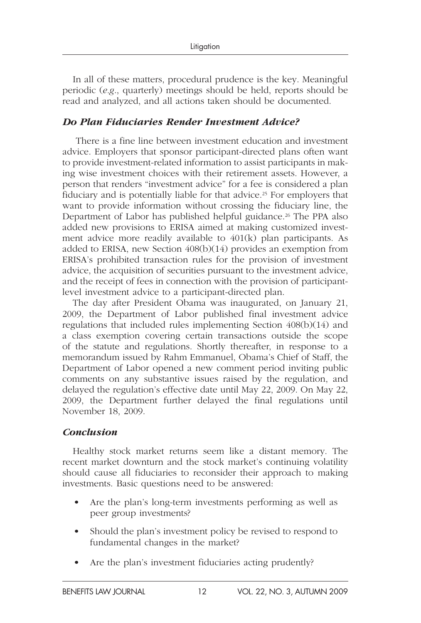In all of these matters, procedural prudence is the key. Meaningful periodic (*e.g.*, quarterly) meetings should be held, reports should be read and analyzed, and all actions taken should be documented.

# *Do Plan Fiduciaries Render Investment Advice?*

 There is a fine line between investment education and investment advice. Employers that sponsor participant-directed plans often want to provide investment-related information to assist participants in making wise investment choices with their retirement assets. However, a person that renders "investment advice" for a fee is considered a plan fiduciary and is potentially liable for that advice. 25 For employers that want to provide information without crossing the fiduciary line, the Department of Labor has published helpful guidance.<sup>26</sup> The PPA also added new provisions to ERISA aimed at making customized investment advice more readily available to 401(k) plan participants. As added to ERISA, new Section 408(b)(14) provides an exemption from ERISA's prohibited transaction rules for the provision of investment advice, the acquisition of securities pursuant to the investment advice, and the receipt of fees in connection with the provision of participantlevel investment advice to a participant-directed plan.

The day after President Obama was inaugurated, on January 21, 2009, the Department of Labor published final investment advice regulations that included rules implementing Section 408(b)(14) and a class exemption covering certain transactions outside the scope of the statute and regulations. Shortly thereafter, in response to a memorandum issued by Rahm Emmanuel, Obama's Chief of Staff, the Department of Labor opened a new comment period inviting public comments on any substantive issues raised by the regulation, and delayed the regulation's effective date until May 22, 2009. On May 22, 2009, the Department further delayed the final regulations until November 18, 2009.

# *Conclusion*

Healthy stock market returns seem like a distant memory. The recent market downturn and the stock market's continuing volatility should cause all fiduciaries to reconsider their approach to making investments. Basic questions need to be answered:

- Are the plan's long-term investments performing as well as peer group investments?
- Should the plan's investment policy be revised to respond to fundamental changes in the market?
- Are the plan's investment fiduciaries acting prudently?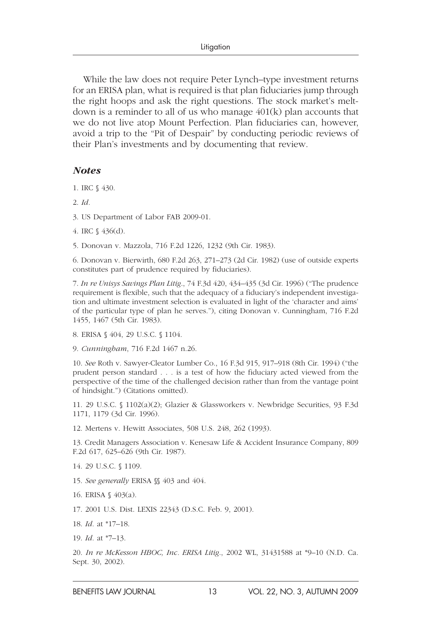While the law does not require Peter Lynch–type investment returns for an ERISA plan, what is required is that plan fiduciaries jump through the right hoops and ask the right questions. The stock market's meltdown is a reminder to all of us who manage 401(k) plan accounts that we do not live atop Mount Perfection. Plan fiduciaries can, however, avoid a trip to the "Pit of Despair" by conducting periodic reviews of their Plan's investments and by documenting that review.

### *Notes*

- 1. IRC § 430.
- 2. *Id.*
- 3. US Department of Labor FAB 2009-01.
- 4. IRC § 436(d).
- 5. Donovan v. Mazzola, 716 F.2d 1226, 1232 (9th Cir. 1983).

6. Donovan v. Bierwirth, 680 F.2d 263, 271–273 (2d Cir. 1982) (use of outside experts constitutes part of prudence required by fiduciaries).

7. *In re Unisys Savings Plan Litig*., 74 F.3d 420, 434–435 (3d Cir. 1996) ("The prudence requirement is flexible, such that the adequacy of a fiduciary's independent investigation and ultimate investment selection is evaluated in light of the 'character and aims' of the particular type of plan he serves."), citing Donovan v. Cunningham, 716 F.2d 1455, 1467 (5th Cir. 1983).

8. ERISA § 404, 29 U.S.C. § 1104.

9. *Cunningham*, 716 F.2d 1467 n.26.

10. *See* Roth v. Sawyer-Cleator Lumber Co., 16 F.3d 915, 917–918 (8th Cir. 1994) ("the prudent person standard . . . is a test of how the fiduciary acted viewed from the perspective of the time of the challenged decision rather than from the vantage point of hindsight.") (Citations omitted).

11. 29 U.S.C. § 1102(a)(2); Glazier & Glassworkers v. Newbridge Securities, 93 F.3d 1171, 1179 (3d Cir. 1996).

12. Mertens v. Hewitt Associates, 508 U.S. 248, 262 (1993).

13. Credit Managers Association v. Kenesaw Life & Accident Insurance Company, 809 F.2d 617, 625–626 (9th Cir. 1987).

14. 29 U.S.C. § 1109.

15. *See generally* ERISA §§ 403 and 404.

16. ERISA § 403(a).

17. 2001 U.S. Dist. LEXIS 22343 (D.S.C. Feb. 9, 2001).

18. *Id.* at \*17–18.

19. *Id.* at \*7–13.

20. *In re McKesson HBOC, Inc. ERISA Litig*., 2002 WL, 31431588 at \*9–10 (N.D. Ca. Sept. 30, 2002).